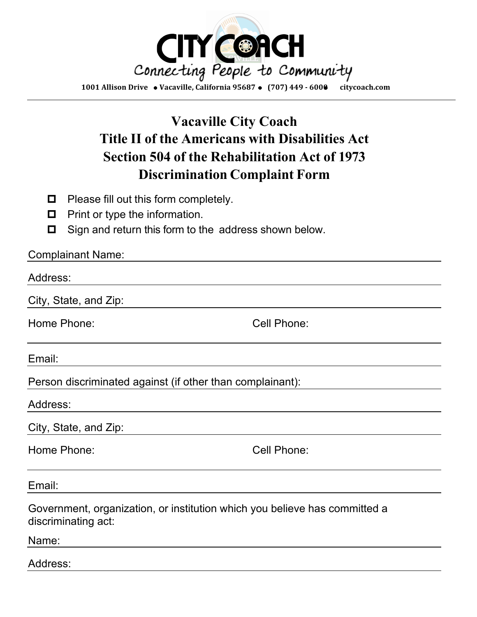

## **Vacaville City Coach Title II of the Americans with Disabilities Act Section 504 of the Rehabilitation Act of 1973 Discrimination Complaint Form**

- $\Box$  Please fill out this form completely.
- $\Box$  Print or type the information.
- $\Box$  Sign and return this form to the address shown below.

| <b>Complainant Name:</b>                                                                          |             |  |  |
|---------------------------------------------------------------------------------------------------|-------------|--|--|
| Address:                                                                                          |             |  |  |
| City, State, and Zip:                                                                             |             |  |  |
| Home Phone:                                                                                       | Cell Phone: |  |  |
| Email:                                                                                            |             |  |  |
| Person discriminated against (if other than complainant):                                         |             |  |  |
| Address:                                                                                          |             |  |  |
| City, State, and Zip:                                                                             |             |  |  |
| Home Phone:                                                                                       | Cell Phone: |  |  |
| Email:                                                                                            |             |  |  |
| Government, organization, or institution which you believe has committed a<br>discriminating act: |             |  |  |
| Name:                                                                                             |             |  |  |
| Address:                                                                                          |             |  |  |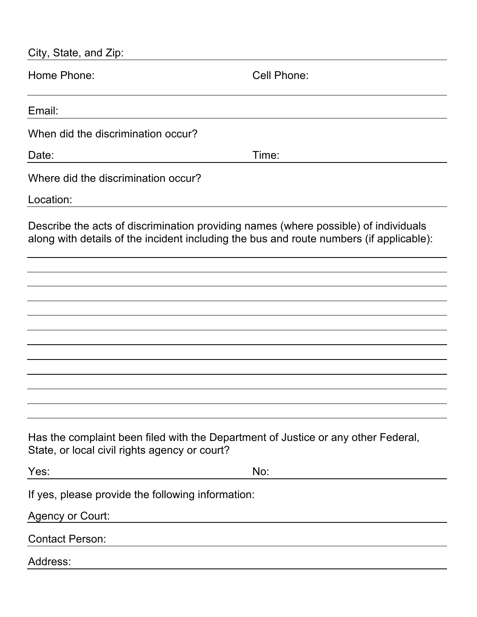| City, State, and Zip:                                                                                                                                                          |             |
|--------------------------------------------------------------------------------------------------------------------------------------------------------------------------------|-------------|
| Home Phone:                                                                                                                                                                    | Cell Phone: |
| Email:                                                                                                                                                                         |             |
| When did the discrimination occur?                                                                                                                                             |             |
| Date:                                                                                                                                                                          | Time:       |
| Where did the discrimination occur?<br>Location:                                                                                                                               |             |
| Describe the acts of discrimination providing names (where possible) of individuals<br>along with details of the incident including the bus and route numbers (if applicable): |             |
|                                                                                                                                                                                |             |
|                                                                                                                                                                                |             |
|                                                                                                                                                                                |             |
|                                                                                                                                                                                |             |
|                                                                                                                                                                                |             |
|                                                                                                                                                                                |             |
|                                                                                                                                                                                |             |
| Has the complaint been filed with the Department of Justice or any other Federal,<br>State, or local civil rights agency or court?                                             |             |
| Yes:                                                                                                                                                                           | No:         |
| If yes, please provide the following information:                                                                                                                              |             |
| <b>Agency or Court:</b>                                                                                                                                                        |             |
| <b>Contact Person:</b>                                                                                                                                                         |             |
| Address:                                                                                                                                                                       |             |